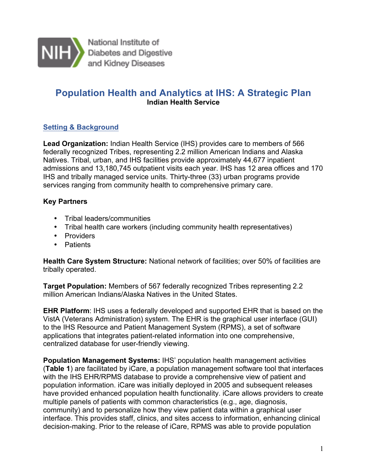

National Institute of Diabetes and Digestive and Kidney Diseases

# **Population Health and Analytics at IHS: A Strategic Plan Indian Health Service**

# **Setting & Background**

 **Lead Organization:** Indian Health Service (IHS) provides care to members of 566 federally recognized Tribes, representing 2.2 million American Indians and Alaska Natives. Tribal, urban, and IHS facilities provide approximately 44,677 inpatient admissions and 13,180,745 outpatient visits each year. IHS has 12 area offices and 170 IHS and tribally managed service units. Thirty-three (33) urban programs provide services ranging from community health to comprehensive primary care.

# **Key Partners**

- Tribal leaders/communities
- Tribal health care workers (including community health representatives)
- Providers
- Patients

 **Health Care System Structure:** National network of facilities; over 50% of facilities are tribally operated.

 **Target Population:** Members of 567 federally recognized Tribes representing 2.2 million American Indians/Alaska Natives in the United States.

 **EHR Platform**: IHS uses a federally developed and supported EHR that is based on the VistA (Veterans Administration) system. The EHR is the graphical user interface (GUI) to the IHS Resource and Patient Management System (RPMS), a set of software applications that integrates patient-related information into one comprehensive, centralized database for user-friendly viewing.

 **Population Management Systems:** IHS' population health management activities (**Table 1**) are facilitated by iCare, a population management software tool that interfaces with the IHS EHR/RPMS database to provide a comprehensive view of patient and population information. iCare was initially deployed in 2005 and subsequent releases have provided enhanced population health functionality. iCare allows providers to create multiple panels of patients with common characteristics (e.g., age, diagnosis, community) and to personalize how they view patient data within a graphical user interface. This provides staff, clinics, and sites access to information, enhancing clinical decision-making. Prior to the release of iCare, RPMS was able to provide population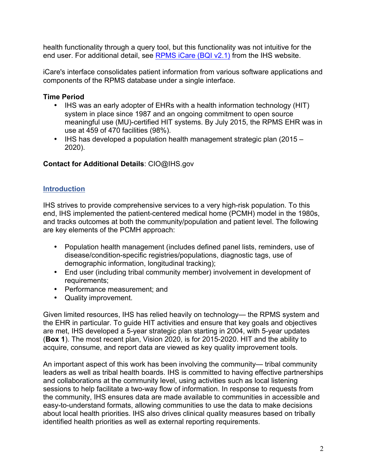health functionality through a query tool, but this functionality was not intuitive for the end user. For additional detail, see **RPMS iCare (BQI v2.1)** from the IHS website.

 iCare's interface consolidates patient information from various software applications and components of the RPMS database under a single interface.

## **Time Period**

- • IHS was an early adopter of EHRs with a health information technology (HIT) system in place since 1987 and an ongoing commitment to open source meaningful use (MU)-certified HIT systems. By July 2015, the RPMS EHR was in use at 459 of 470 facilities (98%).
- • IHS has developed a population health management strategic plan (2015 2020).

# **Contact for Additional Details**: CIO@IHS.gov

# **Introduction**

 IHS strives to provide comprehensive services to a very high-risk population. To this end, IHS implemented the patient-centered medical home (PCMH) model in the 1980s, and tracks outcomes at both the community/population and patient level. The following are key elements of the PCMH approach:

- • Population health management (includes defined panel lists, reminders, use of disease/condition-specific registries/populations, diagnostic tags, use of demographic information, longitudinal tracking);
- • End user (including tribal community member) involvement in development of requirements;
- Performance measurement; and
- Quality improvement.

 Given limited resources, IHS has relied heavily on technology— the RPMS system and the EHR in particular. To guide HIT activities and ensure that key goals and objectives are met, IHS developed a 5-year strategic plan starting in 2004, with 5-year updates (**Box 1**). The most recent plan, Vision 2020, is for 2015-2020. HIT and the ability to acquire, consume, and report data are viewed as key quality improvement tools.

 An important aspect of this work has been involving the community— tribal community leaders as well as tribal health boards. IHS is committed to having effective partnerships and collaborations at the community level, using activities such as local listening sessions to help facilitate a two-way flow of information. In response to requests from the community, IHS ensures data are made available to communities in accessible and easy-to-understand formats, allowing communities to use the data to make decisions about local health priorities. IHS also drives clinical quality measures based on tribally identified health priorities as well as external reporting requirements.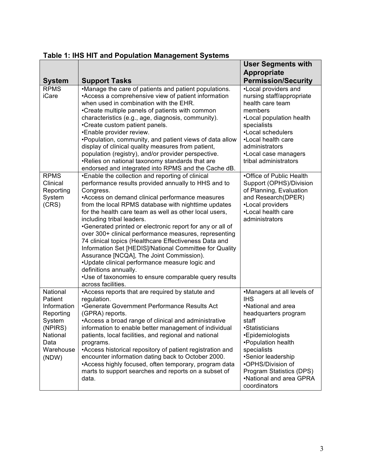|                                                                                                                |                                                                                                                                                                                                                                                                                                                                                                                                                                                                                                                                                                                                                                                                                                                                                                      | <b>User Segments with</b>                                                                                                                                                                                                                                                                    |
|----------------------------------------------------------------------------------------------------------------|----------------------------------------------------------------------------------------------------------------------------------------------------------------------------------------------------------------------------------------------------------------------------------------------------------------------------------------------------------------------------------------------------------------------------------------------------------------------------------------------------------------------------------------------------------------------------------------------------------------------------------------------------------------------------------------------------------------------------------------------------------------------|----------------------------------------------------------------------------------------------------------------------------------------------------------------------------------------------------------------------------------------------------------------------------------------------|
| <b>System</b>                                                                                                  | <b>Support Tasks</b>                                                                                                                                                                                                                                                                                                                                                                                                                                                                                                                                                                                                                                                                                                                                                 | <b>Appropriate</b><br><b>Permission/Security</b>                                                                                                                                                                                                                                             |
| <b>RPMS</b><br>iCare                                                                                           | •Manage the care of patients and patient populations.<br>•Access a comprehensive view of patient information<br>when used in combination with the EHR.<br>•Create multiple panels of patients with common<br>characteristics (e.g., age, diagnosis, community).<br>•Create custom patient panels.<br>•Enable provider review.<br>. Population, community, and patient views of data allow<br>display of clinical quality measures from patient,<br>population (registry), and/or provider perspective.<br>. Relies on national taxonomy standards that are<br>endorsed and integrated into RPMS and the Cache dB.                                                                                                                                                    | •Local providers and<br>nursing staff/appropriate<br>health care team<br>members<br>•Local population health<br>specialists<br>•Local schedulers<br>•Local health care<br>administrators<br>•Local case managers<br>tribal administrators                                                    |
| <b>RPMS</b><br>Clinical<br>Reporting<br>System<br>(CRS)                                                        | •Enable the collection and reporting of clinical<br>performance results provided annually to HHS and to<br>Congress.<br>•Access on demand clinical performance measures<br>from the local RPMS database with nighttime updates<br>for the health care team as well as other local users,<br>including tribal leaders.<br>•Generated printed or electronic report for any or all of<br>over 300+ clinical performance measures, representing<br>74 clinical topics (Healthcare Effectiveness Data and<br>Information Set [HEDIS]/National Committee for Quality<br>Assurance [NCQA], The Joint Commission).<br>•Update clinical performance measure logic and<br>definitions annually.<br>•Use of taxonomies to ensure comparable query results<br>across facilities. | •Office of Public Health<br>Support (OPHS)/Division<br>of Planning, Evaluation<br>and Research(DPER)<br>•Local providers<br>•Local health care<br>administrators                                                                                                                             |
| National<br>Patient<br>Information<br>Reporting<br>System<br>(NPIRS)<br>National<br>Data<br>Warehouse<br>(NDW) | •Access reports that are required by statute and<br>regulation.<br>•Generate Government Performance Results Act<br>(GPRA) reports.<br>•Access a broad range of clinical and administrative<br>information to enable better management of individual<br>patients, local facilities, and regional and national<br>programs.<br>•Access historical repository of patient registration and<br>encounter information dating back to October 2000.<br>•Access highly focused, often temporary, program data<br>marts to support searches and reports on a subset of<br>data.                                                                                                                                                                                               | •Managers at all levels of<br><b>IHS</b><br>•National and area<br>headquarters program<br>staff<br>·Statisticians<br>•Epidemiologists<br>•Population health<br>specialists<br>•Senior leadership<br>•OPHS/Division of<br>Program Statistics (DPS)<br>•National and area GPRA<br>coordinators |

| Table 1: IHS HIT and Population Management Systems |  |  |  |  |  |  |
|----------------------------------------------------|--|--|--|--|--|--|
|----------------------------------------------------|--|--|--|--|--|--|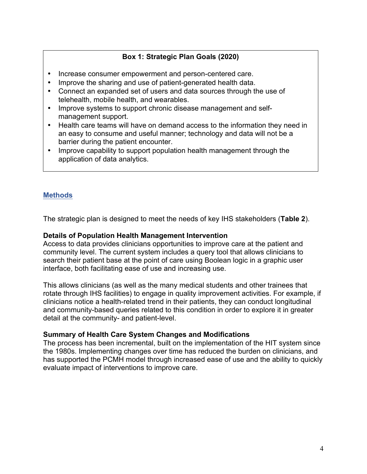# **Box 1: Strategic Plan Goals (2020)**

- Increase consumer empowerment and person-centered care.
- Improve the sharing and use of patient-generated health data.
- • Connect an expanded set of users and data sources through the use of telehealth, mobile health, and wearables.
- • Improve systems to support chronic disease management and self-management support.
- • Health care teams will have on demand access to the information they need in an easy to consume and useful manner; technology and data will not be a barrier during the patient encounter.
- • Improve capability to support population health management through the application of data analytics.

# **Methods**

The strategic plan is designed to meet the needs of key IHS stakeholders (**Table 2**).

#### **Details of Population Health Management Intervention**

 Access to data provides clinicians opportunities to improve care at the patient and community level. The current system includes a query tool that allows clinicians to search their patient base at the point of care using Boolean logic in a graphic user interface, both facilitating ease of use and increasing use.

 This allows clinicians (as well as the many medical students and other trainees that rotate through IHS facilities) to engage in quality improvement activities. For example, if clinicians notice a health-related trend in their patients, they can conduct longitudinal and community-based queries related to this condition in order to explore it in greater detail at the community- and patient-level.

### **Summary of Health Care System Changes and Modifications**

 The process has been incremental, built on the implementation of the HIT system since the 1980s. Implementing changes over time has reduced the burden on clinicians, and has supported the PCMH model through increased ease of use and the ability to quickly evaluate impact of interventions to improve care.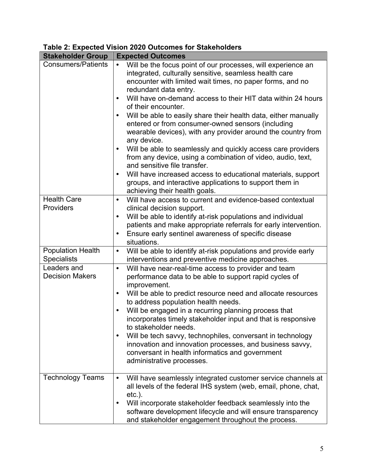# **Table 2: Expected Vision 2020 Outcomes for Stakeholders**

| <b>Stakeholder Group</b>                       | <b>Expected Outcomes</b>                                                                                                                                                                                                                                                                                                                                                                                                                                                                                                                                                                                                                                                                                                                                                                                                                                                                               |
|------------------------------------------------|--------------------------------------------------------------------------------------------------------------------------------------------------------------------------------------------------------------------------------------------------------------------------------------------------------------------------------------------------------------------------------------------------------------------------------------------------------------------------------------------------------------------------------------------------------------------------------------------------------------------------------------------------------------------------------------------------------------------------------------------------------------------------------------------------------------------------------------------------------------------------------------------------------|
| <b>Consumers/Patients</b>                      | Will be the focus point of our processes, will experience an<br>$\bullet$<br>integrated, culturally sensitive, seamless health care<br>encounter with limited wait times, no paper forms, and no<br>redundant data entry.<br>Will have on-demand access to their HIT data within 24 hours<br>$\bullet$<br>of their encounter.<br>Will be able to easily share their health data, either manually<br>$\bullet$<br>entered or from consumer-owned sensors (including<br>wearable devices), with any provider around the country from<br>any device.<br>Will be able to seamlessly and quickly access care providers<br>$\bullet$<br>from any device, using a combination of video, audio, text,<br>and sensitive file transfer.<br>Will have increased access to educational materials, support<br>$\bullet$<br>groups, and interactive applications to support them in<br>achieving their health goals. |
| <b>Health Care</b>                             | Will have access to current and evidence-based contextual<br>$\bullet$                                                                                                                                                                                                                                                                                                                                                                                                                                                                                                                                                                                                                                                                                                                                                                                                                                 |
| Providers                                      | clinical decision support.<br>Will be able to identify at-risk populations and individual<br>$\bullet$<br>patients and make appropriate referrals for early intervention.<br>Ensure early sentinel awareness of specific disease<br>$\bullet$<br>situations.                                                                                                                                                                                                                                                                                                                                                                                                                                                                                                                                                                                                                                           |
| <b>Population Health</b><br><b>Specialists</b> | Will be able to identify at-risk populations and provide early<br>$\bullet$<br>interventions and preventive medicine approaches.                                                                                                                                                                                                                                                                                                                                                                                                                                                                                                                                                                                                                                                                                                                                                                       |
| Leaders and<br><b>Decision Makers</b>          | Will have near-real-time access to provider and team<br>$\bullet$<br>performance data to be able to support rapid cycles of<br>improvement.<br>Will be able to predict resource need and allocate resources<br>$\bullet$<br>to address population health needs.<br>Will be engaged in a recurring planning process that<br>$\bullet$<br>incorporates timely stakeholder input and that is responsive<br>to stakeholder needs.<br>Will be tech savvy, technophiles, conversant in technology<br>$\bullet$<br>innovation and innovation processes, and business savvy,<br>conversant in health informatics and government<br>administrative processes.                                                                                                                                                                                                                                                   |
| <b>Technology Teams</b>                        | Will have seamlessly integrated customer service channels at<br>$\bullet$<br>all levels of the federal IHS system (web, email, phone, chat,<br>$etc.$ ).<br>Will incorporate stakeholder feedback seamlessly into the<br>٠<br>software development lifecycle and will ensure transparency<br>and stakeholder engagement throughout the process.                                                                                                                                                                                                                                                                                                                                                                                                                                                                                                                                                        |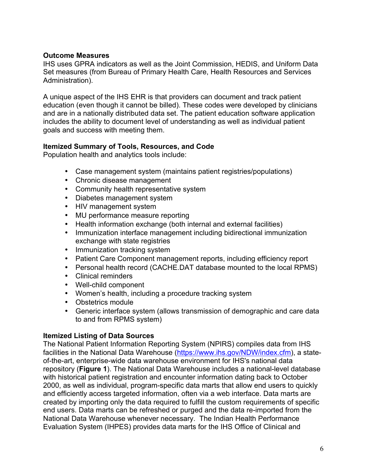### **Outcome Measures**

 IHS uses GPRA indicators as well as the Joint Commission, HEDIS, and Uniform Data Set measures (from Bureau of Primary Health Care, Health Resources and Services Administration).

 A unique aspect of the IHS EHR is that providers can document and track patient education (even though it cannot be billed). These codes were developed by clinicians and are in a nationally distributed data set. The patient education software application includes the ability to document level of understanding as well as individual patient goals and success with meeting them.

#### **Itemized Summary of Tools, Resources, and Code**

Population health and analytics tools include:

- Case management system (maintains patient registries/populations)
- Chronic disease management
- Community health representative system
- Diabetes management system
- HIV management system
- MU performance measure reporting
- Health information exchange (both internal and external facilities)
- • Immunization interface management including bidirectional immunization exchange with state registries
- Immunization tracking system
- Patient Care Component management reports, including efficiency report
- Personal health record (CACHE.DAT database mounted to the local RPMS)
- Clinical reminders
- Well-child component
- Women's health, including a procedure tracking system
- Obstetrics module
- • Generic interface system (allows transmission of demographic and care data to and from RPMS system)

#### **Itemized Listing of Data Sources**

 The National Patient Information Reporting System (NPIRS) compiles data from IHS facilities in the National Data Warehouse (https://www.ihs.gov/NDW/index.cfm), a state- of-the-art, enterprise-wide data warehouse environment for IHS's national data repository (**Figure 1**). The National Data Warehouse includes a national-level database with historical patient registration and encounter information dating back to October 2000, as well as individual, program-specific data marts that allow end users to quickly and efficiently access targeted information, often via a web interface. Data marts are created by importing only the data required to fulfill the custom requirements of specific end users. Data marts can be refreshed or purged and the data re-imported from the National Data Warehouse whenever necessary. The Indian Health Performance Evaluation System (IHPES) provides data marts for the IHS Office of Clinical and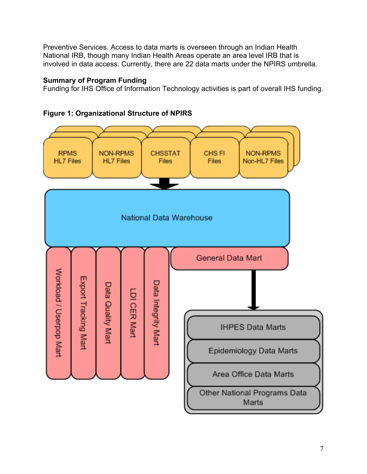Preventive Services. Access to data marts is overseen through an Indian Health National IRB, though many Indian Health Areas operate an area level IRB that is involved in data access. Currently, there are 22 data marts under the NPIRS umbrella.

### **Summary of Program Funding**

Funding for IHS Office of Information Technology activities is part of overall IHS funding.



## **Figure 1: Organizational Structure of NPIRS**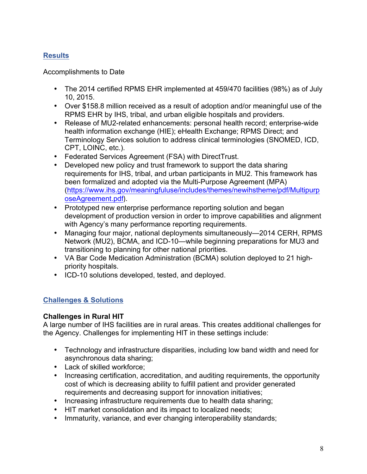# **Results**

### Accomplishments to Date

- The 2014 certified RPMS EHR implemented at 459/470 facilities (98%) as of July 10, 2015.
- Over \$158.8 million received as a result of adoption and/or meaningful use of the RPMS EHR by IHS, tribal, and urban eligible hospitals and providers .
- Release of MU2-related enhancements: personal health record; enterprise-wide health information exchange (HIE); eHealth Exchange; RPMS Direct; and Terminology Services solution to address clinical terminologies (SNOMED, ICD, CPT, LOINC, etc.).
- Federated Services Agreement (FSA) with DirectTrust.
- Developed new policy and trust framework to support the data sharing requirements for IHS, tribal, and urban participants in MU2 . This framework has been formalized and adopted via the Multi-Purpose Agreement (MPA) (https://www.ihs.gov/meaningfuluse/includes/themes/newihstheme/pdf/Multipurp oseAgreement.pdf).
- Prototyped new enterprise performance reporting solution and began development of production version in order to improve capabilities and alignment with Agency's many performance reporting requirements.
- Managing four major, national deployments simultaneously— 2014 CERH, RPMS Network (MU2), BCMA, and ICD-10—while beginning preparations for MU3 and transitioning to planning for other national priorities .
- VA Bar Code Medication Administration (BCMA) solution deployed to 21 highpriority hospitals.
- ICD-10 solutions developed, tested, and deployed.

# **Challenges & Solutions**

### **Challenges in Rural HIT**

 A large number of IHS facilities are in rural areas. This creates additional challenges for the Agency. Challenges for implementing HIT in these settings include:

- • Technology and infrastructure disparities, including low band width and need for asynchronous data sharing;
- Lack of skilled workforce;
- • Increasing certification, accreditation, and auditing requirements, the opportunity cost of which is decreasing ability to fulfill patient and provider generated requirements and decreasing support for innovation initiatives;
- Increasing infrastructure requirements due to health data sharing;
- HIT market consolidation and its impact to localized needs;
- Immaturity, variance, and ever changing interoperability standards;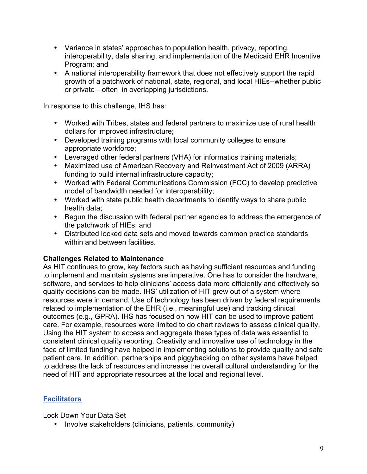- • Variance in states' approaches to population health, privacy, reporting, interoperability, data sharing, and implementation of the Medicaid EHR Incentive Program; and
- • A national interoperability framework that does not effectively support the rapid growth of a patchwork of national, state, regional, and local HIEs--whether public or private—often in overlapping jurisdictions.

In response to this challenge, IHS has:

- • Worked with Tribes, states and federal partners to maximize use of rural health dollars for improved infrastructure;
- • Developed training programs with local community colleges to ensure appropriate workforce;
- Leveraged other federal partners (VHA) for informatics training materials;
- • Maximized use of American Recovery and Reinvestment Act of 2009 (ARRA) funding to build internal infrastructure capacity;
- • Worked with Federal Communications Commission (FCC) to develop predictive model of bandwidth needed for interoperability;
- • Worked with state public health departments to identify ways to share public health data;
- • Begun the discussion with federal partner agencies to address the emergence of the patchwork of HIEs; and
- • Distributed locked data sets and moved towards common practice standards within and between facilities.

### **Challenges Related to Maintenance**

 As HIT continues to grow, key factors such as having sufficient resources and funding to implement and maintain systems are imperative. One has to consider the hardware, software, and services to help clinicians' access data more efficiently and effectively so quality decisions can be made. IHS' utilization of HIT grew out of a system where resources were in demand. Use of technology has been driven by federal requirements related to implementation of the EHR (i.e., meaningful use) and tracking clinical outcomes (e.g., GPRA). IHS has focused on how HIT can be used to improve patient care. For example, resources were limited to do chart reviews to assess clinical quality. Using the HIT system to access and aggregate these types of data was essential to consistent clinical quality reporting. Creativity and innovative use of technology in the face of limited funding have helped in implementing solutions to provide quality and safe patient care. In addition, partnerships and piggybacking on other systems have helped to address the lack of resources and increase the overall cultural understanding for the need of HIT and appropriate resources at the local and regional level.

# **Facilitators**

Lock Down Your Data Set

• Involve stakeholders (clinicians, patients, community)